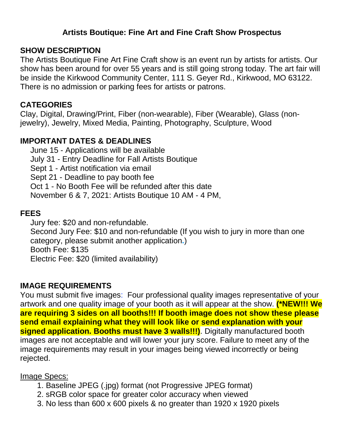# **Artists Boutique: Fine Art and Fine Craft Show Prospectus**

### **SHOW DESCRIPTION**

The Artists Boutique Fine Art Fine Craft show is an event run by artists for artists. Our show has been around for over 55 years and is still going strong today. The art fair will be inside the Kirkwood Community Center, 111 S. Geyer Rd., Kirkwood, MO 63122. There is no admission or parking fees for artists or patrons.

## **CATEGORIES**

Clay, Digital, Drawing/Print, Fiber (non-wearable), Fiber (Wearable), Glass (nonjewelry), Jewelry, Mixed Media, Painting, Photography, Sculpture, Wood

# **IMPORTANT DATES & DEADLINES**

 June 15 - Applications will be available July 31 - Entry Deadline for Fall Artists Boutique Sept 1 - Artist notification via email Sept 21 - Deadline to pay booth fee Oct 1 - No Booth Fee will be refunded after this date November 6 & 7, 2021: Artists Boutique 10 AM - 4 PM,

### **FEES**

 Jury fee: \$20 and non-refundable. Second Jury Fee: \$10 and non-refundable (If you wish to jury in more than one category, please submit another application**.**) Booth Fee: \$135 Electric Fee: \$20 (limited availability)

### **IMAGE REQUIREMENTS**

You must submit five images: Four professional quality images representative of your artwork and one quality image of your booth as it will appear at the show. **(\*NEW!!! We are requiring 3 sides on all booths!!! If booth image does not show these please send email explaining what they will look like or send explanation with your signed application. Booths must have 3 walls!!!)**. Digitally manufactured booth images are not acceptable and will lower your jury score. Failure to meet any of the image requirements may result in your images being viewed incorrectly or being rejected.

#### Image Specs:

- 1. Baseline JPEG (.jpg) format (not Progressive JPEG format)
- 2. sRGB color space for greater color accuracy when viewed
- 3. No less than 600 x 600 pixels & no greater than 1920 x 1920 pixels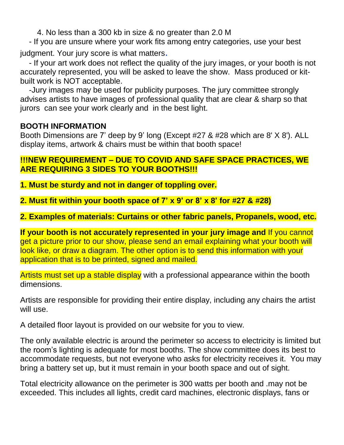4. No less than a 300 kb in size & no greater than 2.0 M

- If you are unsure where your work fits among entry categories, use your best

judgment. Your jury score is what matters.

- If your art work does not reflect the quality of the jury images, or your booth is not accurately represented, you will be asked to leave the show. Mass produced or kitbuilt work is NOT acceptable.

-Jury images may be used for publicity purposes. The jury committee strongly advises artists to have images of professional quality that are clear & sharp so that jurors can see your work clearly and in the best light.

# **BOOTH INFORMATION**

Booth Dimensions are 7' deep by 9' long (Except #27 & #28 which are 8' X 8'). ALL display items, artwork & chairs must be within that booth space!

## **!!!NEW REQUIREMENT – DUE TO COVID AND SAFE SPACE PRACTICES, WE ARE REQUIRING 3 SIDES TO YOUR BOOTHS!!!**

**1. Must be sturdy and not in danger of toppling over.**

**2. Must fit within your booth space of 7' x 9' or 8' x 8' for #27 & #28)**

**2. Examples of materials: Curtains or other fabric panels, Propanels, wood, etc.**

**If your booth is not accurately represented in your jury image and** If you cannot get a picture prior to our show, please send an email explaining what your booth will look like, or draw a diagram. The other option is to send this information with your application that is to be printed, signed and mailed.

Artists must set up a stable display with a professional appearance within the booth dimensions.

Artists are responsible for providing their entire display, including any chairs the artist will use.

A detailed floor layout is provided on our website for you to view.

The only available electric is around the perimeter so access to electricity is limited but the room's lighting is adequate for most booths. The show committee does its best to accommodate requests, but not everyone who asks for electricity receives it. You may bring a battery set up, but it must remain in your booth space and out of sight.

Total electricity allowance on the perimeter is 300 watts per booth and .may not be exceeded. This includes all lights, credit card machines, electronic displays, fans or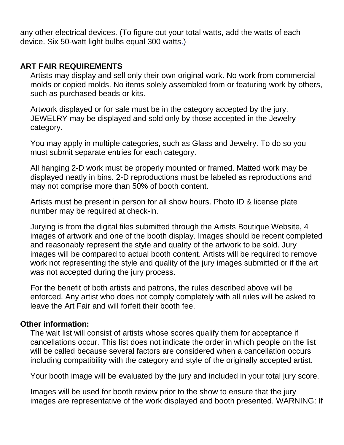any other electrical devices. (To figure out your total watts, add the watts of each device. Six 50-watt light bulbs equal 300 watts.)

### **ART FAIR REQUIREMENTS**

 Artists may display and sell only their own original work. No work from commercial molds or copied molds. No items solely assembled from or featuring work by others, such as purchased beads or kits.

 Artwork displayed or for sale must be in the category accepted by the jury. JEWELRY may be displayed and sold only by those accepted in the Jewelry category.

 You may apply in multiple categories, such as Glass and Jewelry. To do so you must submit separate entries for each category.

 All hanging 2-D work must be properly mounted or framed. Matted work may be displayed neatly in bins. 2-D reproductions must be labeled as reproductions and may not comprise more than 50% of booth content.

 Artists must be present in person for all show hours. Photo ID & license plate number may be required at check-in.

 Jurying is from the digital files submitted through the Artists Boutique Website, 4 images of artwork and one of the booth display. Images should be recent completed and reasonably represent the style and quality of the artwork to be sold. Jury images will be compared to actual booth content. Artists will be required to remove work not representing the style and quality of the jury images submitted or if the art was not accepted during the jury process.

 For the benefit of both artists and patrons, the rules described above will be enforced. Any artist who does not comply completely with all rules will be asked to leave the Art Fair and will forfeit their booth fee.

#### **Other information:**

 The wait list will consist of artists whose scores qualify them for acceptance if cancellations occur. This list does not indicate the order in which people on the list will be called because several factors are considered when a cancellation occurs including compatibility with the category and style of the originally accepted artist.

Your booth image will be evaluated by the jury and included in your total jury score.

 Images will be used for booth review prior to the show to ensure that the jury images are representative of the work displayed and booth presented. WARNING: If